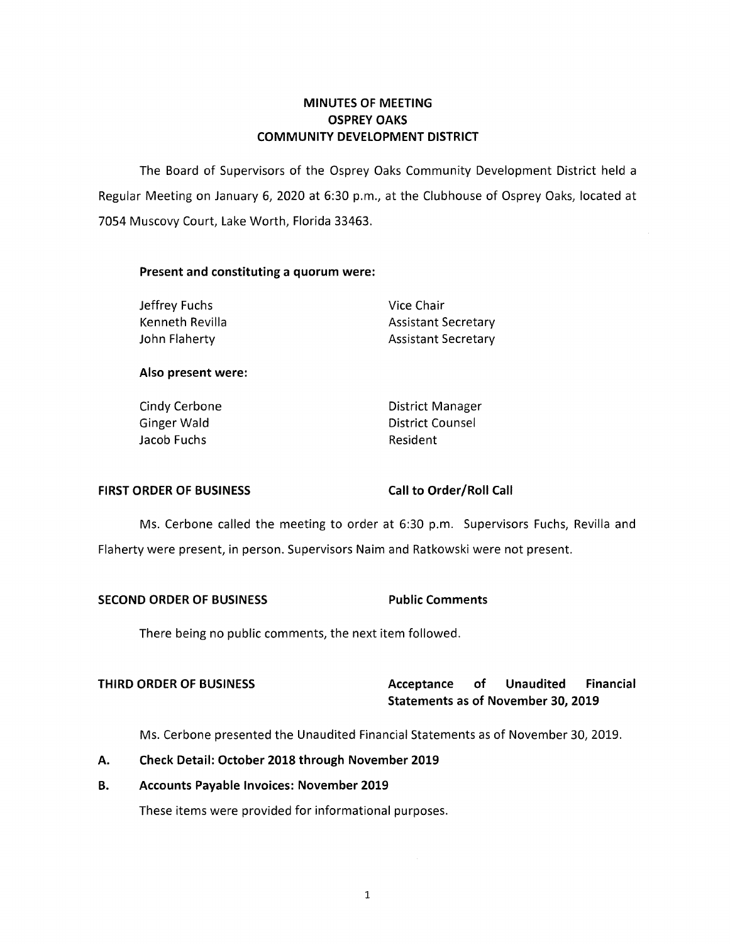# **MINUTES OF MEETING OSPREY OAKS COMMUNITY DEVELOPMENT DISTRICT**

The Board of Supervisors of the Osprey Oaks Community Development District held a Regular Meeting on January 6, 2020 at 6:30 p.m., at the Clubhouse of Osprey Oaks, located at 7054 Muscovy Court, Lake Worth, Florida 33463.

### **Present and constituting a quorum were:**

Jeffrey Fuchs Vice Chair

Kenneth Revilla **Assistant Secretary** Assistant Secretary John Flaherty **Assistant Secretary** 

### **Also present were:**

Jacob Fuchs **Resident** 

Cindy Cerbone **District Manager** Ginger Wald **District Counsel** 

## **FIRST ORDER OF BUSINESS Call to Order/Roll Call**

Ms. Cerbone called the meeting to order at 6:30 p.m. Supervisors Fuchs, Revilla and Flaherty were present, in person. Supervisors Nairn and Ratkowski were not present.

## **SECOND ORDER OF BUSINESS Public Comments**

There being no public comments, the next item followed.

# **THIRD ORDER OF BUSINESS Acceptance of Unaudited Financial Statements as of November 30, 2019**

Ms. Cerbone presented the Unaudited Financial Statements as of November 30, 2019.

## **A. Check Detail: October 2018 through November 2019**

## **B. Accounts Payable Invoices: November 2019**

These items were provided for informational purposes.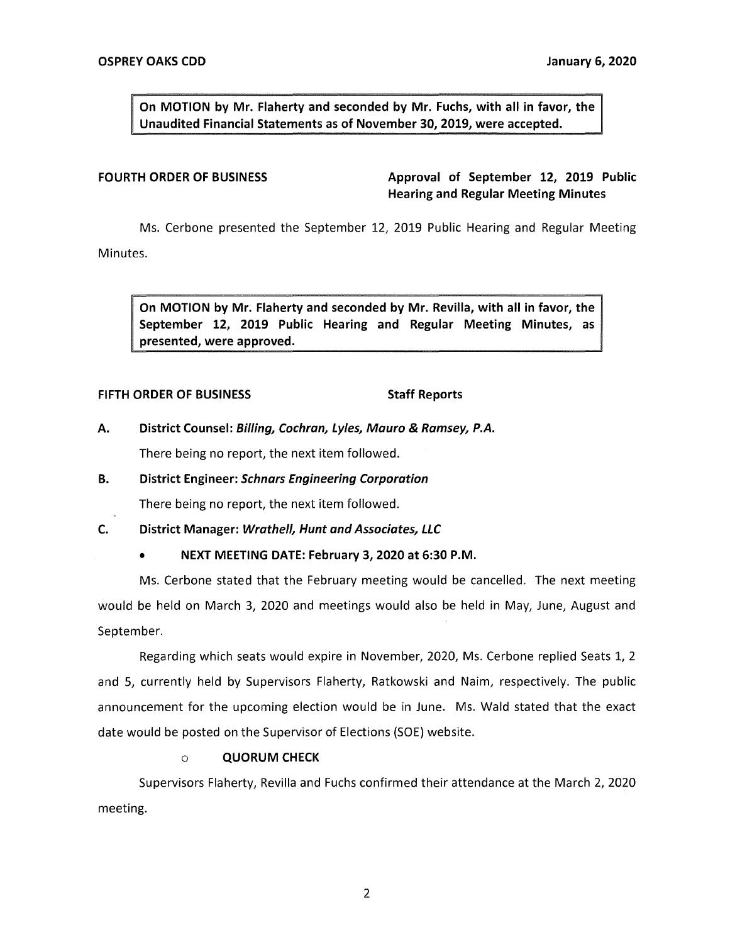**On MOTION by Mr. Flaherty and seconded by Mr. Fuchs, with all in favor, the Unaudited Financial Statements as of November 30, 2019, were accepted.** 

**FOURTH ORDER OF BUSINESS Approval of September 12, 2019 Public Hearing and Regular Meeting Minutes** 

Ms. Cerbone presented the September 12, 2019 Public Hearing and Regular Meeting

Minutes.

**On MOTION by Mr. Flaherty and seconded by Mr. Revilla, with all in favor, the September 12, 2019 Public Hearing and Regular Meeting Minutes, as presented, were approved.** 

### **FIFTH ORDER OF BUSINESS** Staff Reports

**A. District Counsel: Billing, Cochran, Lyles, Mauro** & **Ramsey, P.A.** 

There being no report, the next item followed.

**B. District Engineer: Schnars Engineering Corporation** 

There being no report, the next item followed.

**C. District Manager: Wrathe/1, Hunt and Associates, LLC** 

• **NEXT MEETING DATE: February 3, 2020 at 6:30 P.M.** 

Ms. Cerbone stated that the February meeting would be cancelled. The next meeting would be held on March 3, 2020 and meetings would also be held in May, June, August and September.

Regarding which seats would expire in November, 2020, Ms. Cerbone replied Seats 1, 2 and 5, currently held by Supervisors Flaherty, Ratkowski and Naim, respectively. The public announcement for the upcoming election would be in June. Ms. Wald stated that the exact date would be posted on the Supervisor of Elections (SOE) website.

## o **QUORUM CHECK**

Supervisors Flaherty, Revilla and Fuchs confirmed their attendance at the March 2, 2020 meeting.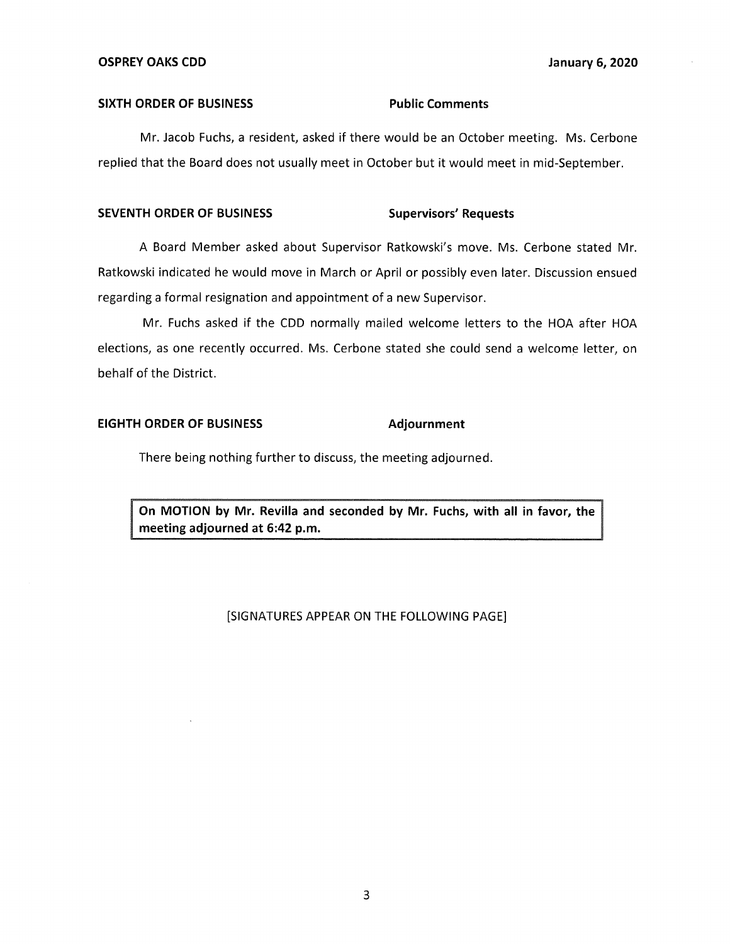#### **SIXTH ORDER OF BUSINESS Public Comments**

Mr. Jacob Fuchs, a resident, asked if there would be an October meeting. Ms. Cerbone replied that the Board does not usually meet in October but it would meet in mid-September.

# SEVENTH ORDER OF BUSINESS Supervisors' Requests

A Board Member asked about Supervisor Ratkowski's move. Ms. Cerbone stated Mr. Ratkowski indicated he would move in March or April or possibly even later. Discussion ensued regarding a formal resignation and appointment of a new Supervisor.

Mr. Fuchs asked if the CDD normally mailed welcome letters to the HOA after HOA elections, as one recently occurred. Ms. Cerbone stated she could send a welcome letter, on behalf of the District.

# **EIGHTH ORDER OF BUSINESS Adjournment**

There being nothing further to discuss, the meeting adjourned.

**On MOTION by Mr. Revilla and seconded by Mr. Fuchs, with all in favor, the meeting adjourned at 6:42 p.m.** 

### [SIGNATURES APPEAR ON THE FOLLOWING PAGE]